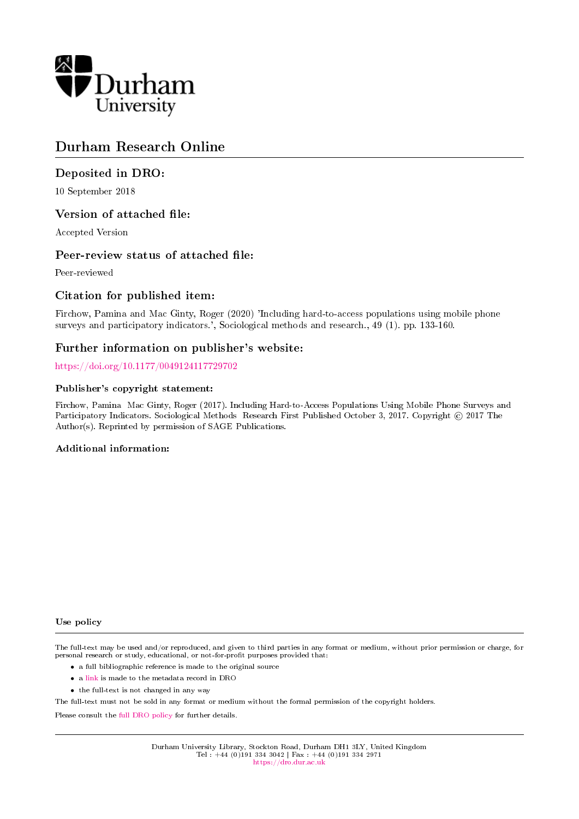

# Durham Research Online

## Deposited in DRO:

10 September 2018

## Version of attached file:

Accepted Version

## Peer-review status of attached file:

Peer-reviewed

## Citation for published item:

Firchow, Pamina and Mac Ginty, Roger (2020) 'Including hard-to-access populations using mobile phone surveys and participatory indicators.', Sociological methods and research., 49 (1). pp. 133-160.

## Further information on publisher's website:

<https://doi.org/10.1177/0049124117729702>

#### Publisher's copyright statement:

Firchow, Pamina Mac Ginty, Roger (2017). Including Hard-to-Access Populations Using Mobile Phone Surveys and Participatory Indicators. Sociological Methods Research First Published October 3, 2017. Copyright © 2017 The Author(s). Reprinted by permission of SAGE Publications.

#### Additional information:

#### Use policy

The full-text may be used and/or reproduced, and given to third parties in any format or medium, without prior permission or charge, for personal research or study, educational, or not-for-profit purposes provided that:

- a full bibliographic reference is made to the original source
- a [link](http://dro.dur.ac.uk/26142/) is made to the metadata record in DRO
- the full-text is not changed in any way

The full-text must not be sold in any format or medium without the formal permission of the copyright holders.

Please consult the [full DRO policy](https://dro.dur.ac.uk/policies/usepolicy.pdf) for further details.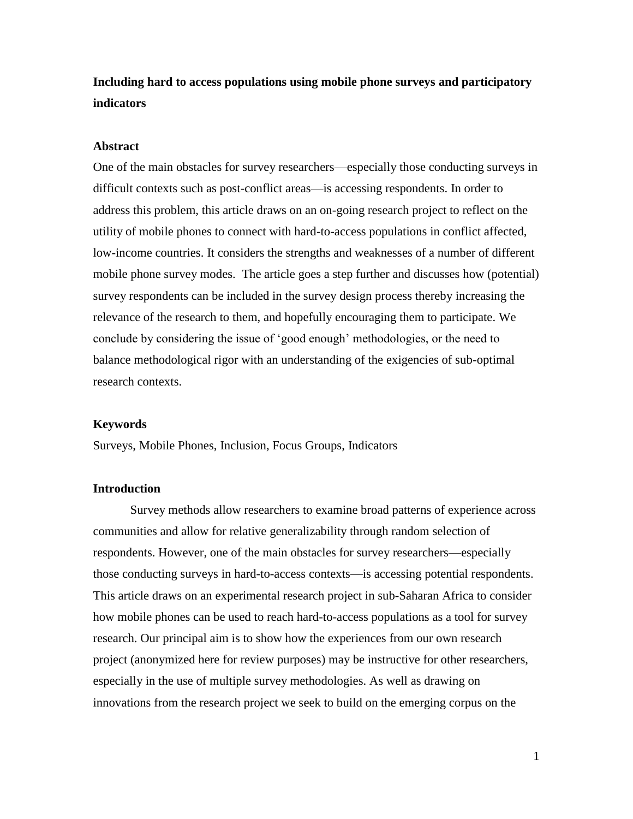# **Including hard to access populations using mobile phone surveys and participatory indicators**

#### **Abstract**

One of the main obstacles for survey researchers—especially those conducting surveys in difficult contexts such as post-conflict areas—is accessing respondents. In order to address this problem, this article draws on an on-going research project to reflect on the utility of mobile phones to connect with hard-to-access populations in conflict affected, low-income countries. It considers the strengths and weaknesses of a number of different mobile phone survey modes. The article goes a step further and discusses how (potential) survey respondents can be included in the survey design process thereby increasing the relevance of the research to them, and hopefully encouraging them to participate. We conclude by considering the issue of 'good enough' methodologies, or the need to balance methodological rigor with an understanding of the exigencies of sub-optimal research contexts.

#### **Keywords**

Surveys, Mobile Phones, Inclusion, Focus Groups, Indicators

#### **Introduction**

Survey methods allow researchers to examine broad patterns of experience across communities and allow for relative generalizability through random selection of respondents. However, one of the main obstacles for survey researchers—especially those conducting surveys in hard-to-access contexts—is accessing potential respondents. This article draws on an experimental research project in sub-Saharan Africa to consider how mobile phones can be used to reach hard-to-access populations as a tool for survey research. Our principal aim is to show how the experiences from our own research project (anonymized here for review purposes) may be instructive for other researchers, especially in the use of multiple survey methodologies. As well as drawing on innovations from the research project we seek to build on the emerging corpus on the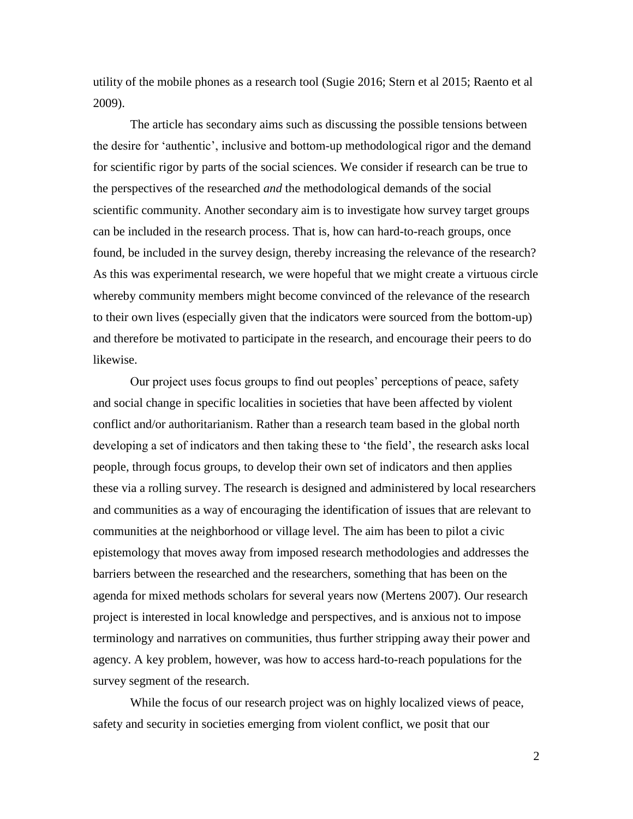utility of the mobile phones as a research tool (Sugie 2016; Stern et al 2015; Raento et al 2009).

The article has secondary aims such as discussing the possible tensions between the desire for 'authentic', inclusive and bottom-up methodological rigor and the demand for scientific rigor by parts of the social sciences. We consider if research can be true to the perspectives of the researched *and* the methodological demands of the social scientific community. Another secondary aim is to investigate how survey target groups can be included in the research process. That is, how can hard-to-reach groups, once found, be included in the survey design, thereby increasing the relevance of the research? As this was experimental research, we were hopeful that we might create a virtuous circle whereby community members might become convinced of the relevance of the research to their own lives (especially given that the indicators were sourced from the bottom-up) and therefore be motivated to participate in the research, and encourage their peers to do likewise.

Our project uses focus groups to find out peoples' perceptions of peace, safety and social change in specific localities in societies that have been affected by violent conflict and/or authoritarianism. Rather than a research team based in the global north developing a set of indicators and then taking these to 'the field', the research asks local people, through focus groups, to develop their own set of indicators and then applies these via a rolling survey. The research is designed and administered by local researchers and communities as a way of encouraging the identification of issues that are relevant to communities at the neighborhood or village level. The aim has been to pilot a civic epistemology that moves away from imposed research methodologies and addresses the barriers between the researched and the researchers, something that has been on the agenda for mixed methods scholars for several years now (Mertens 2007). Our research project is interested in local knowledge and perspectives, and is anxious not to impose terminology and narratives on communities, thus further stripping away their power and agency. A key problem, however, was how to access hard-to-reach populations for the survey segment of the research.

While the focus of our research project was on highly localized views of peace, safety and security in societies emerging from violent conflict, we posit that our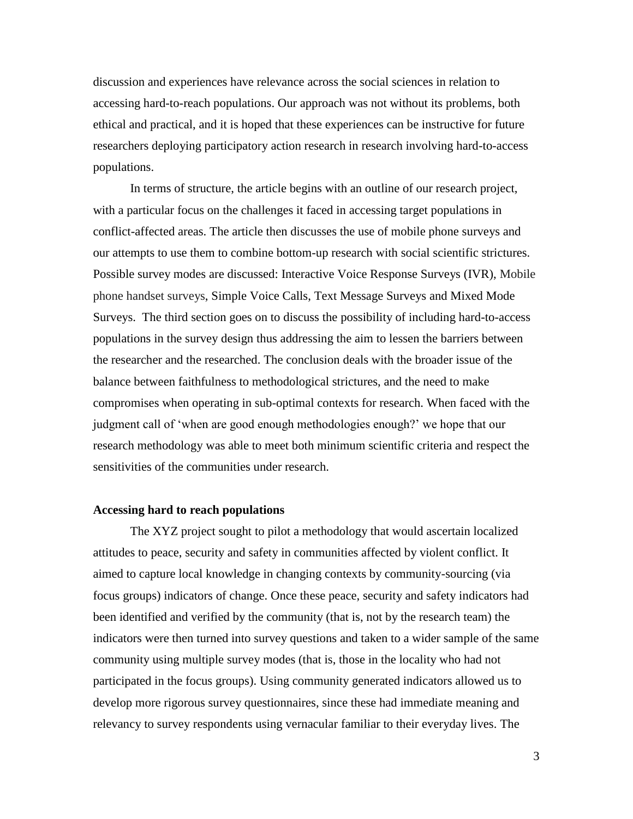discussion and experiences have relevance across the social sciences in relation to accessing hard-to-reach populations. Our approach was not without its problems, both ethical and practical, and it is hoped that these experiences can be instructive for future researchers deploying participatory action research in research involving hard-to-access populations.

In terms of structure, the article begins with an outline of our research project, with a particular focus on the challenges it faced in accessing target populations in conflict-affected areas. The article then discusses the use of mobile phone surveys and our attempts to use them to combine bottom-up research with social scientific strictures. Possible survey modes are discussed: Interactive Voice Response Surveys (IVR), Mobile phone handset surveys, Simple Voice Calls, Text Message Surveys and Mixed Mode Surveys. The third section goes on to discuss the possibility of including hard-to-access populations in the survey design thus addressing the aim to lessen the barriers between the researcher and the researched. The conclusion deals with the broader issue of the balance between faithfulness to methodological strictures, and the need to make compromises when operating in sub-optimal contexts for research. When faced with the judgment call of 'when are good enough methodologies enough?' we hope that our research methodology was able to meet both minimum scientific criteria and respect the sensitivities of the communities under research.

#### **Accessing hard to reach populations**

The XYZ project sought to pilot a methodology that would ascertain localized attitudes to peace, security and safety in communities affected by violent conflict. It aimed to capture local knowledge in changing contexts by community-sourcing (via focus groups) indicators of change. Once these peace, security and safety indicators had been identified and verified by the community (that is, not by the research team) the indicators were then turned into survey questions and taken to a wider sample of the same community using multiple survey modes (that is, those in the locality who had not participated in the focus groups). Using community generated indicators allowed us to develop more rigorous survey questionnaires, since these had immediate meaning and relevancy to survey respondents using vernacular familiar to their everyday lives. The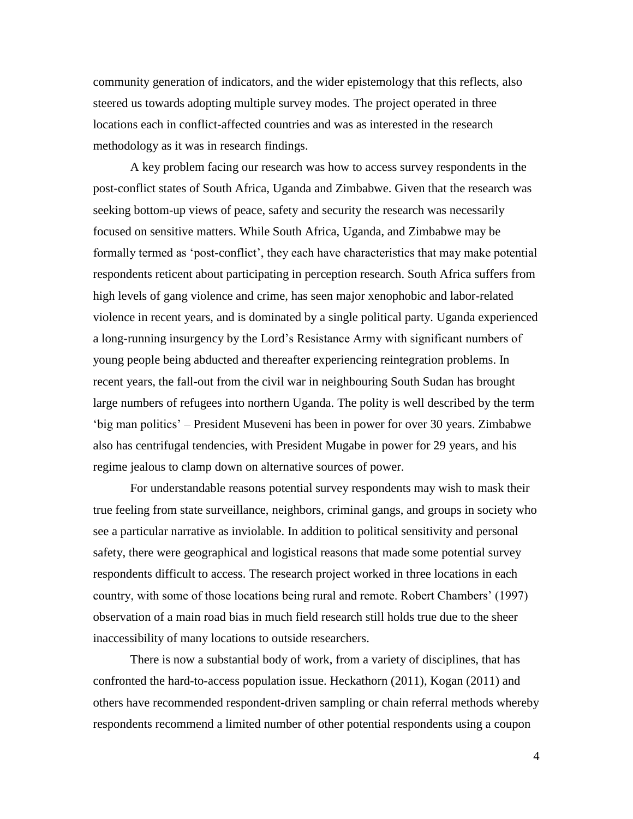community generation of indicators, and the wider epistemology that this reflects, also steered us towards adopting multiple survey modes. The project operated in three locations each in conflict-affected countries and was as interested in the research methodology as it was in research findings.

A key problem facing our research was how to access survey respondents in the post-conflict states of South Africa, Uganda and Zimbabwe. Given that the research was seeking bottom-up views of peace, safety and security the research was necessarily focused on sensitive matters. While South Africa, Uganda, and Zimbabwe may be formally termed as 'post-conflict', they each have characteristics that may make potential respondents reticent about participating in perception research. South Africa suffers from high levels of gang violence and crime, has seen major xenophobic and labor-related violence in recent years, and is dominated by a single political party. Uganda experienced a long-running insurgency by the Lord's Resistance Army with significant numbers of young people being abducted and thereafter experiencing reintegration problems. In recent years, the fall-out from the civil war in neighbouring South Sudan has brought large numbers of refugees into northern Uganda. The polity is well described by the term 'big man politics' – President Museveni has been in power for over 30 years. Zimbabwe also has centrifugal tendencies, with President Mugabe in power for 29 years, and his regime jealous to clamp down on alternative sources of power.

For understandable reasons potential survey respondents may wish to mask their true feeling from state surveillance, neighbors, criminal gangs, and groups in society who see a particular narrative as inviolable. In addition to political sensitivity and personal safety, there were geographical and logistical reasons that made some potential survey respondents difficult to access. The research project worked in three locations in each country, with some of those locations being rural and remote. Robert Chambers' (1997) observation of a main road bias in much field research still holds true due to the sheer inaccessibility of many locations to outside researchers.

There is now a substantial body of work, from a variety of disciplines, that has confronted the hard-to-access population issue. Heckathorn (2011), Kogan (2011) and others have recommended respondent-driven sampling or chain referral methods whereby respondents recommend a limited number of other potential respondents using a coupon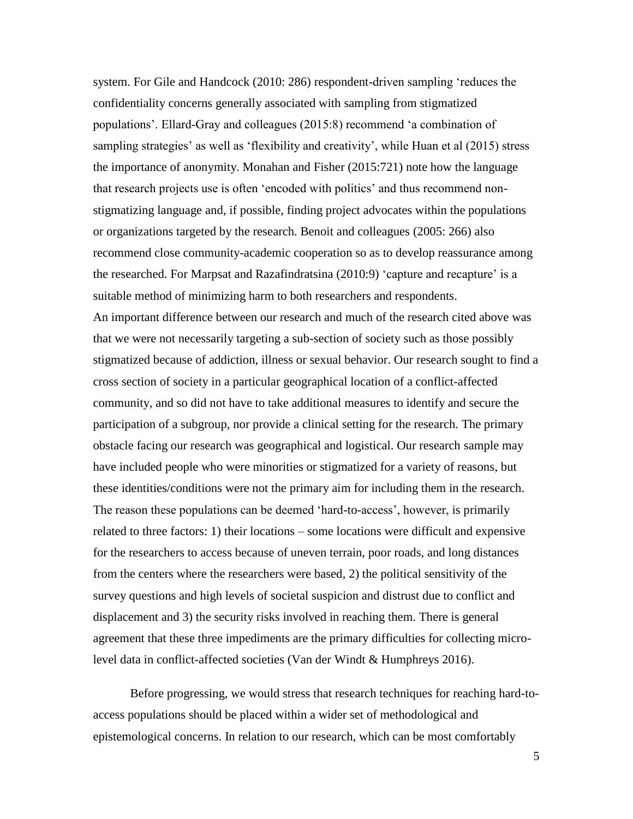system. For Gile and Handcock (2010: 286) respondent-driven sampling 'reduces the confidentiality concerns generally associated with sampling from stigmatized populations'. Ellard-Gray and colleagues (2015:8) recommend 'a combination of sampling strategies' as well as 'flexibility and creativity', while Huan et al (2015) stress the importance of anonymity. Monahan and Fisher (2015:721) note how the language that research projects use is often 'encoded with politics' and thus recommend nonstigmatizing language and, if possible, finding project advocates within the populations or organizations targeted by the research. Benoit and colleagues (2005: 266) also recommend close community-academic cooperation so as to develop reassurance among the researched. For Marpsat and Razafindratsina (2010:9) 'capture and recapture' is a suitable method of minimizing harm to both researchers and respondents. An important difference between our research and much of the research cited above was that we were not necessarily targeting a sub-section of society such as those possibly stigmatized because of addiction, illness or sexual behavior. Our research sought to find a cross section of society in a particular geographical location of a conflict-affected community, and so did not have to take additional measures to identify and secure the participation of a subgroup, nor provide a clinical setting for the research. The primary obstacle facing our research was geographical and logistical. Our research sample may have included people who were minorities or stigmatized for a variety of reasons, but these identities/conditions were not the primary aim for including them in the research. The reason these populations can be deemed 'hard-to-access', however, is primarily related to three factors: 1) their locations – some locations were difficult and expensive for the researchers to access because of uneven terrain, poor roads, and long distances from the centers where the researchers were based, 2) the political sensitivity of the survey questions and high levels of societal suspicion and distrust due to conflict and displacement and 3) the security risks involved in reaching them. There is general agreement that these three impediments are the primary difficulties for collecting microlevel data in conflict-affected societies (Van der Windt & Humphreys 2016).

Before progressing, we would stress that research techniques for reaching hard-toaccess populations should be placed within a wider set of methodological and epistemological concerns. In relation to our research, which can be most comfortably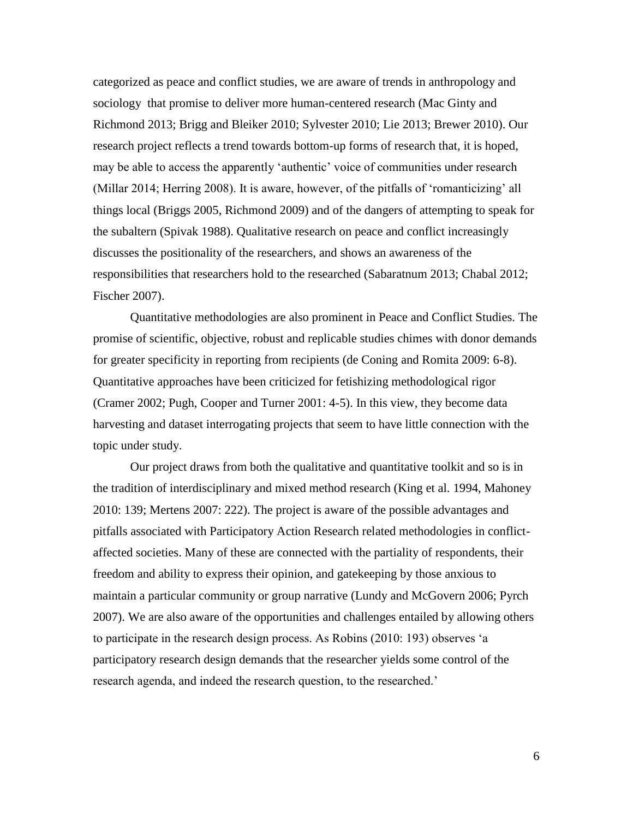categorized as peace and conflict studies, we are aware of trends in anthropology and sociology that promise to deliver more human-centered research (Mac Ginty and Richmond 2013; Brigg and Bleiker 2010; Sylvester 2010; Lie 2013; Brewer 2010). Our research project reflects a trend towards bottom-up forms of research that, it is hoped, may be able to access the apparently 'authentic' voice of communities under research (Millar 2014; Herring 2008). It is aware, however, of the pitfalls of 'romanticizing' all things local (Briggs 2005, Richmond 2009) and of the dangers of attempting to speak for the subaltern (Spivak 1988). Qualitative research on peace and conflict increasingly discusses the positionality of the researchers, and shows an awareness of the responsibilities that researchers hold to the researched (Sabaratnum 2013; Chabal 2012; Fischer 2007).

Quantitative methodologies are also prominent in Peace and Conflict Studies. The promise of scientific, objective, robust and replicable studies chimes with donor demands for greater specificity in reporting from recipients (de Coning and Romita 2009: 6-8). Quantitative approaches have been criticized for fetishizing methodological rigor (Cramer 2002; Pugh, Cooper and Turner 2001: 4-5). In this view, they become data harvesting and dataset interrogating projects that seem to have little connection with the topic under study.

Our project draws from both the qualitative and quantitative toolkit and so is in the tradition of interdisciplinary and mixed method research (King et al. 1994, Mahoney 2010: 139; Mertens 2007: 222). The project is aware of the possible advantages and pitfalls associated with Participatory Action Research related methodologies in conflictaffected societies. Many of these are connected with the partiality of respondents, their freedom and ability to express their opinion, and gatekeeping by those anxious to maintain a particular community or group narrative (Lundy and McGovern 2006; Pyrch 2007). We are also aware of the opportunities and challenges entailed by allowing others to participate in the research design process. As Robins (2010: 193) observes 'a participatory research design demands that the researcher yields some control of the research agenda, and indeed the research question, to the researched.'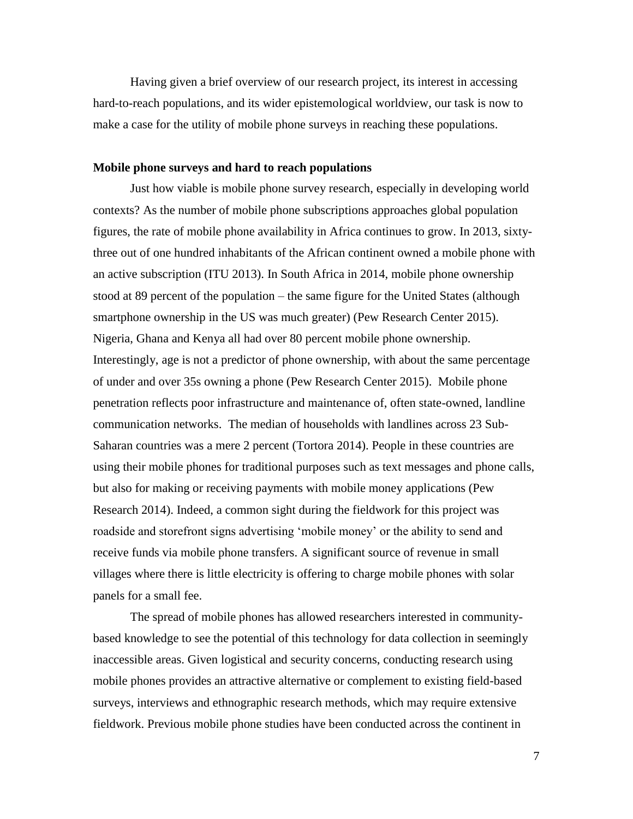Having given a brief overview of our research project, its interest in accessing hard-to-reach populations, and its wider epistemological worldview, our task is now to make a case for the utility of mobile phone surveys in reaching these populations.

### **Mobile phone surveys and hard to reach populations**

Just how viable is mobile phone survey research, especially in developing world contexts? As the number of mobile phone subscriptions approaches global population figures, the rate of mobile phone availability in Africa continues to grow. In 2013, sixtythree out of one hundred inhabitants of the African continent owned a mobile phone with an active subscription (ITU 2013). In South Africa in 2014, mobile phone ownership stood at 89 percent of the population – the same figure for the United States (although smartphone ownership in the US was much greater) (Pew Research Center 2015). Nigeria, Ghana and Kenya all had over 80 percent mobile phone ownership. Interestingly, age is not a predictor of phone ownership, with about the same percentage of under and over 35s owning a phone (Pew Research Center 2015). Mobile phone penetration reflects poor infrastructure and maintenance of, often state-owned, landline communication networks. The median of households with landlines across 23 Sub-Saharan countries was a mere 2 percent (Tortora 2014). People in these countries are using their mobile phones for traditional purposes such as text messages and phone calls, but also for making or receiving payments with mobile money applications (Pew Research 2014). Indeed, a common sight during the fieldwork for this project was roadside and storefront signs advertising 'mobile money' or the ability to send and receive funds via mobile phone transfers. A significant source of revenue in small villages where there is little electricity is offering to charge mobile phones with solar panels for a small fee.

The spread of mobile phones has allowed researchers interested in communitybased knowledge to see the potential of this technology for data collection in seemingly inaccessible areas. Given logistical and security concerns, conducting research using mobile phones provides an attractive alternative or complement to existing field-based surveys, interviews and ethnographic research methods, which may require extensive fieldwork. Previous mobile phone studies have been conducted across the continent in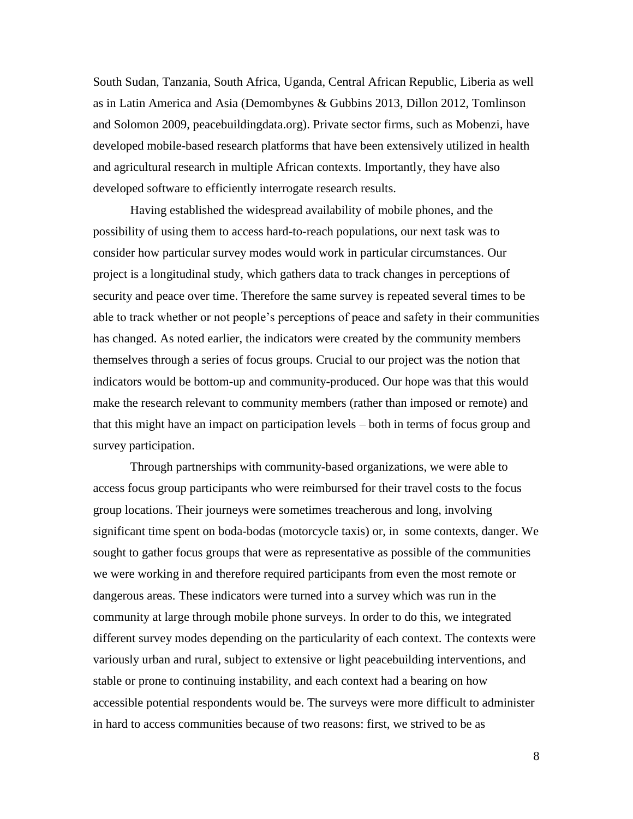South Sudan, Tanzania, South Africa, Uganda, Central African Republic, Liberia as well as in Latin America and Asia (Demombynes & Gubbins 2013, Dillon 2012, Tomlinson and Solomon 2009, peacebuildingdata.org). Private sector firms, such as Mobenzi, have developed mobile-based research platforms that have been extensively utilized in health and agricultural research in multiple African contexts. Importantly, they have also developed software to efficiently interrogate research results.

Having established the widespread availability of mobile phones, and the possibility of using them to access hard-to-reach populations, our next task was to consider how particular survey modes would work in particular circumstances. Our project is a longitudinal study, which gathers data to track changes in perceptions of security and peace over time. Therefore the same survey is repeated several times to be able to track whether or not people's perceptions of peace and safety in their communities has changed. As noted earlier, the indicators were created by the community members themselves through a series of focus groups. Crucial to our project was the notion that indicators would be bottom-up and community-produced. Our hope was that this would make the research relevant to community members (rather than imposed or remote) and that this might have an impact on participation levels – both in terms of focus group and survey participation.

Through partnerships with community-based organizations, we were able to access focus group participants who were reimbursed for their travel costs to the focus group locations. Their journeys were sometimes treacherous and long, involving significant time spent on boda-bodas (motorcycle taxis) or, in some contexts, danger. We sought to gather focus groups that were as representative as possible of the communities we were working in and therefore required participants from even the most remote or dangerous areas. These indicators were turned into a survey which was run in the community at large through mobile phone surveys. In order to do this, we integrated different survey modes depending on the particularity of each context. The contexts were variously urban and rural, subject to extensive or light peacebuilding interventions, and stable or prone to continuing instability, and each context had a bearing on how accessible potential respondents would be. The surveys were more difficult to administer in hard to access communities because of two reasons: first, we strived to be as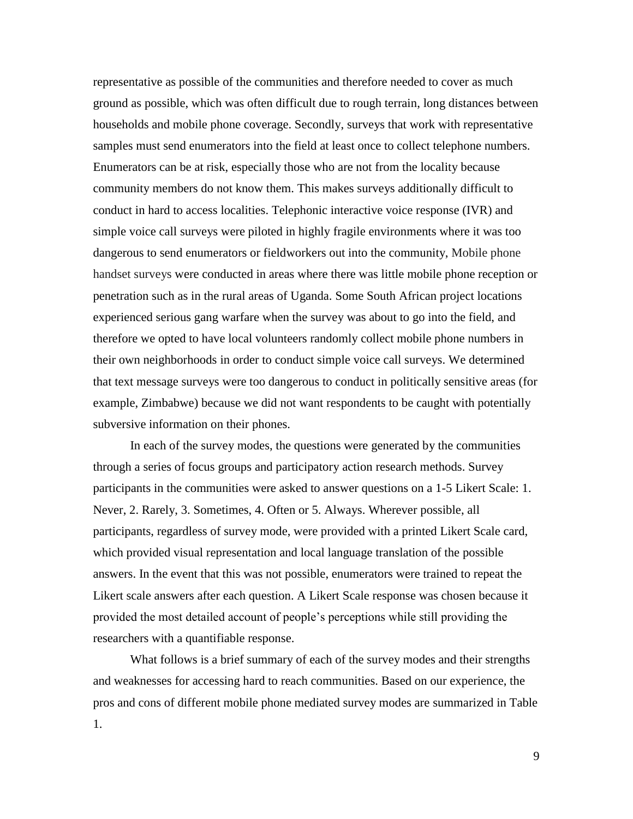representative as possible of the communities and therefore needed to cover as much ground as possible, which was often difficult due to rough terrain, long distances between households and mobile phone coverage. Secondly, surveys that work with representative samples must send enumerators into the field at least once to collect telephone numbers. Enumerators can be at risk, especially those who are not from the locality because community members do not know them. This makes surveys additionally difficult to conduct in hard to access localities. Telephonic interactive voice response (IVR) and simple voice call surveys were piloted in highly fragile environments where it was too dangerous to send enumerators or fieldworkers out into the community, Mobile phone handset surveys were conducted in areas where there was little mobile phone reception or penetration such as in the rural areas of Uganda. Some South African project locations experienced serious gang warfare when the survey was about to go into the field, and therefore we opted to have local volunteers randomly collect mobile phone numbers in their own neighborhoods in order to conduct simple voice call surveys. We determined that text message surveys were too dangerous to conduct in politically sensitive areas (for example, Zimbabwe) because we did not want respondents to be caught with potentially subversive information on their phones.

In each of the survey modes, the questions were generated by the communities through a series of focus groups and participatory action research methods. Survey participants in the communities were asked to answer questions on a 1-5 Likert Scale: 1. Never, 2. Rarely, 3. Sometimes, 4. Often or 5. Always. Wherever possible, all participants, regardless of survey mode, were provided with a printed Likert Scale card, which provided visual representation and local language translation of the possible answers. In the event that this was not possible, enumerators were trained to repeat the Likert scale answers after each question. A Likert Scale response was chosen because it provided the most detailed account of people's perceptions while still providing the researchers with a quantifiable response.

What follows is a brief summary of each of the survey modes and their strengths and weaknesses for accessing hard to reach communities. Based on our experience, the pros and cons of different mobile phone mediated survey modes are summarized in Table 1.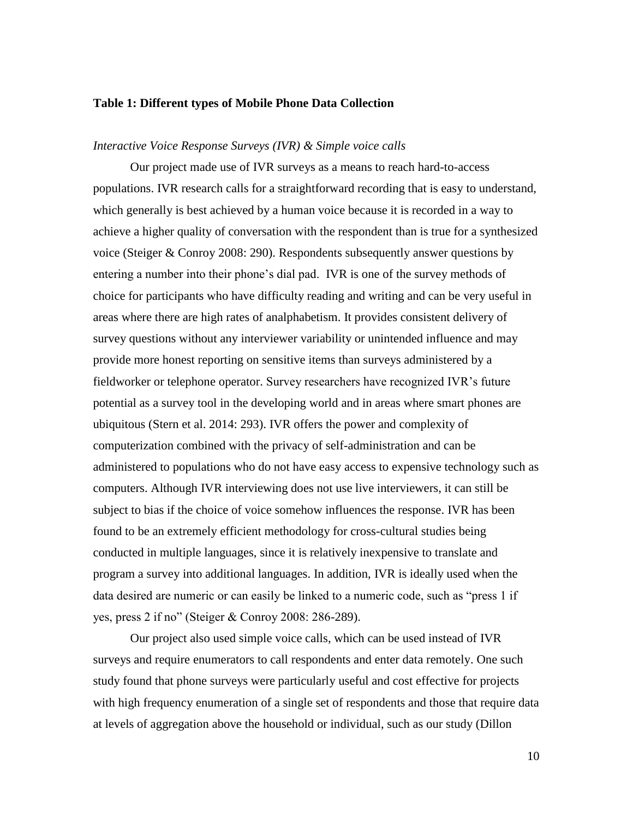#### **Table 1: Different types of Mobile Phone Data Collection**

#### *Interactive Voice Response Surveys (IVR) & Simple voice calls*

Our project made use of IVR surveys as a means to reach hard-to-access populations. IVR research calls for a straightforward recording that is easy to understand, which generally is best achieved by a human voice because it is recorded in a way to achieve a higher quality of conversation with the respondent than is true for a synthesized voice (Steiger & Conroy 2008: 290). Respondents subsequently answer questions by entering a number into their phone's dial pad. IVR is one of the survey methods of choice for participants who have difficulty reading and writing and can be very useful in areas where there are high rates of analphabetism. It provides consistent delivery of survey questions without any interviewer variability or unintended influence and may provide more honest reporting on sensitive items than surveys administered by a fieldworker or telephone operator. Survey researchers have recognized IVR's future potential as a survey tool in the developing world and in areas where smart phones are ubiquitous (Stern et al. 2014: 293). IVR offers the power and complexity of computerization combined with the privacy of self-administration and can be administered to populations who do not have easy access to expensive technology such as computers. Although IVR interviewing does not use live interviewers, it can still be subject to bias if the choice of voice somehow influences the response. IVR has been found to be an extremely efficient methodology for cross-cultural studies being conducted in multiple languages, since it is relatively inexpensive to translate and program a survey into additional languages. In addition, IVR is ideally used when the data desired are numeric or can easily be linked to a numeric code, such as "press 1 if yes, press 2 if no" (Steiger & Conroy 2008: 286-289).

Our project also used simple voice calls, which can be used instead of IVR surveys and require enumerators to call respondents and enter data remotely. One such study found that phone surveys were particularly useful and cost effective for projects with high frequency enumeration of a single set of respondents and those that require data at levels of aggregation above the household or individual, such as our study (Dillon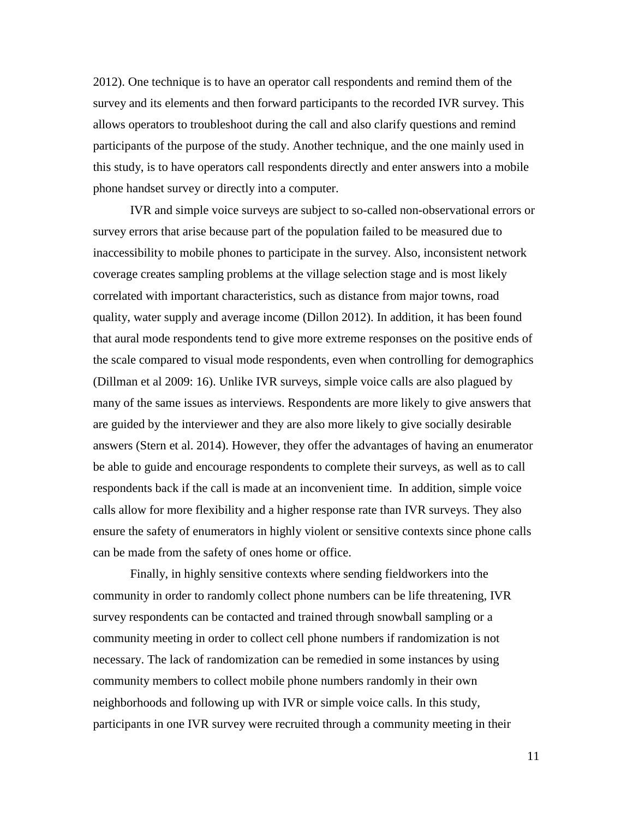2012). One technique is to have an operator call respondents and remind them of the survey and its elements and then forward participants to the recorded IVR survey. This allows operators to troubleshoot during the call and also clarify questions and remind participants of the purpose of the study. Another technique, and the one mainly used in this study, is to have operators call respondents directly and enter answers into a mobile phone handset survey or directly into a computer.

IVR and simple voice surveys are subject to so-called non-observational errors or survey errors that arise because part of the population failed to be measured due to inaccessibility to mobile phones to participate in the survey. Also, inconsistent network coverage creates sampling problems at the village selection stage and is most likely correlated with important characteristics, such as distance from major towns, road quality, water supply and average income (Dillon 2012). In addition, it has been found that aural mode respondents tend to give more extreme responses on the positive ends of the scale compared to visual mode respondents, even when controlling for demographics (Dillman et al 2009: 16). Unlike IVR surveys, simple voice calls are also plagued by many of the same issues as interviews. Respondents are more likely to give answers that are guided by the interviewer and they are also more likely to give socially desirable answers (Stern et al. 2014). However, they offer the advantages of having an enumerator be able to guide and encourage respondents to complete their surveys, as well as to call respondents back if the call is made at an inconvenient time. In addition, simple voice calls allow for more flexibility and a higher response rate than IVR surveys. They also ensure the safety of enumerators in highly violent or sensitive contexts since phone calls can be made from the safety of ones home or office.

Finally, in highly sensitive contexts where sending fieldworkers into the community in order to randomly collect phone numbers can be life threatening, IVR survey respondents can be contacted and trained through snowball sampling or a community meeting in order to collect cell phone numbers if randomization is not necessary. The lack of randomization can be remedied in some instances by using community members to collect mobile phone numbers randomly in their own neighborhoods and following up with IVR or simple voice calls. In this study, participants in one IVR survey were recruited through a community meeting in their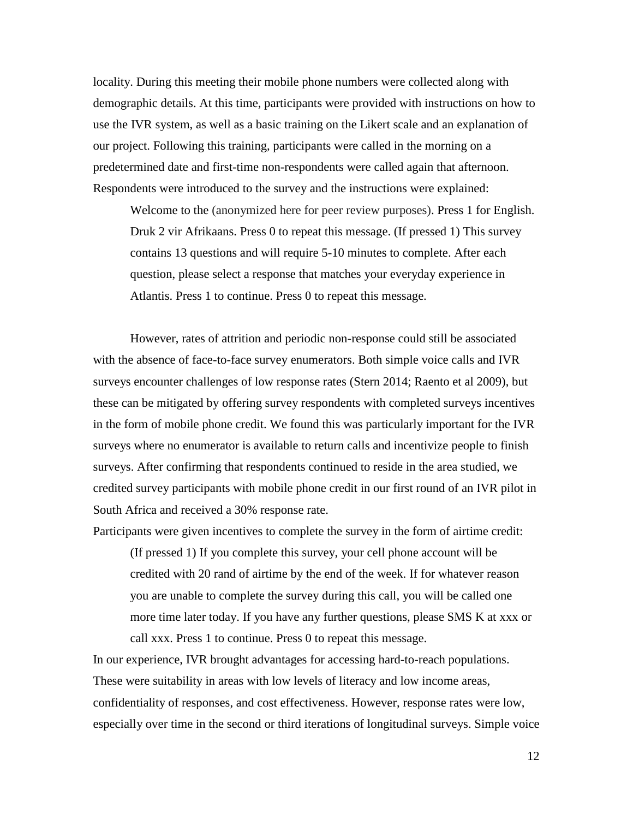locality. During this meeting their mobile phone numbers were collected along with demographic details. At this time, participants were provided with instructions on how to use the IVR system, as well as a basic training on the Likert scale and an explanation of our project. Following this training, participants were called in the morning on a predetermined date and first-time non-respondents were called again that afternoon. Respondents were introduced to the survey and the instructions were explained:

Welcome to the (anonymized here for peer review purposes). Press 1 for English. Druk 2 vir Afrikaans. Press 0 to repeat this message. (If pressed 1) This survey contains 13 questions and will require 5-10 minutes to complete. After each question, please select a response that matches your everyday experience in Atlantis. Press 1 to continue. Press 0 to repeat this message.

However, rates of attrition and periodic non-response could still be associated with the absence of face-to-face survey enumerators. Both simple voice calls and IVR surveys encounter challenges of low response rates (Stern 2014; Raento et al 2009), but these can be mitigated by offering survey respondents with completed surveys incentives in the form of mobile phone credit. We found this was particularly important for the IVR surveys where no enumerator is available to return calls and incentivize people to finish surveys. After confirming that respondents continued to reside in the area studied, we credited survey participants with mobile phone credit in our first round of an IVR pilot in South Africa and received a 30% response rate.

Participants were given incentives to complete the survey in the form of airtime credit: (If pressed 1) If you complete this survey, your cell phone account will be credited with 20 rand of airtime by the end of the week. If for whatever reason you are unable to complete the survey during this call, you will be called one more time later today. If you have any further questions, please SMS K at xxx or call xxx. Press 1 to continue. Press 0 to repeat this message.

In our experience, IVR brought advantages for accessing hard-to-reach populations. These were suitability in areas with low levels of literacy and low income areas, confidentiality of responses, and cost effectiveness. However, response rates were low, especially over time in the second or third iterations of longitudinal surveys. Simple voice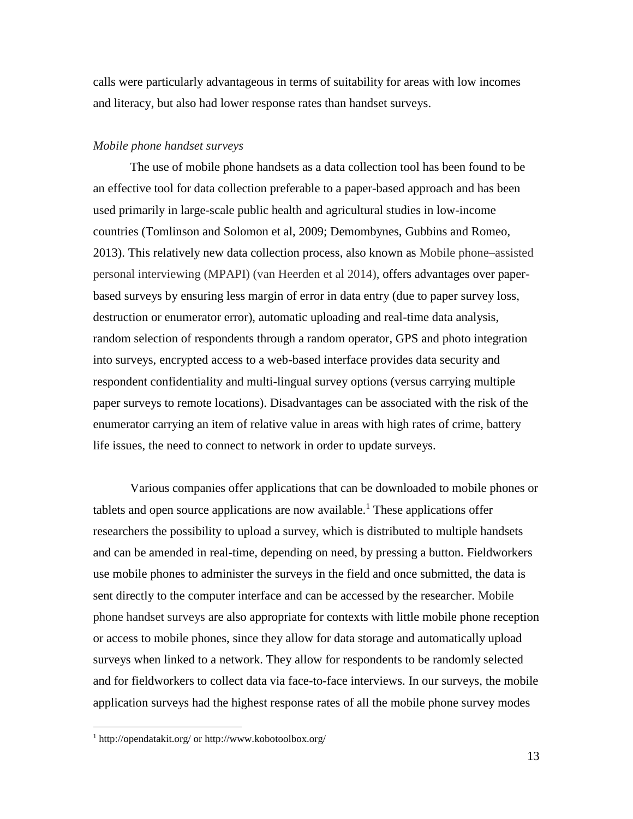calls were particularly advantageous in terms of suitability for areas with low incomes and literacy, but also had lower response rates than handset surveys.

#### *Mobile phone handset surveys*

The use of mobile phone handsets as a data collection tool has been found to be an effective tool for data collection preferable to a paper-based approach and has been used primarily in large-scale public health and agricultural studies in low-income countries (Tomlinson and Solomon et al, 2009; Demombynes, Gubbins and Romeo, 2013). This relatively new data collection process, also known as Mobile phone–assisted personal interviewing (MPAPI) (van Heerden et al 2014), offers advantages over paperbased surveys by ensuring less margin of error in data entry (due to paper survey loss, destruction or enumerator error), automatic uploading and real-time data analysis, random selection of respondents through a random operator, GPS and photo integration into surveys, encrypted access to a web-based interface provides data security and respondent confidentiality and multi-lingual survey options (versus carrying multiple paper surveys to remote locations). Disadvantages can be associated with the risk of the enumerator carrying an item of relative value in areas with high rates of crime, battery life issues, the need to connect to network in order to update surveys.

Various companies offer applications that can be downloaded to mobile phones or tablets and open source applications are now available. <sup>1</sup> These applications offer researchers the possibility to upload a survey, which is distributed to multiple handsets and can be amended in real-time, depending on need, by pressing a button. Fieldworkers use mobile phones to administer the surveys in the field and once submitted, the data is sent directly to the computer interface and can be accessed by the researcher. Mobile phone handset surveys are also appropriate for contexts with little mobile phone reception or access to mobile phones, since they allow for data storage and automatically upload surveys when linked to a network. They allow for respondents to be randomly selected and for fieldworkers to collect data via face-to-face interviews. In our surveys, the mobile application surveys had the highest response rates of all the mobile phone survey modes

 $\overline{a}$ 

<sup>1</sup> http://opendatakit.org/ or http://www.kobotoolbox.org/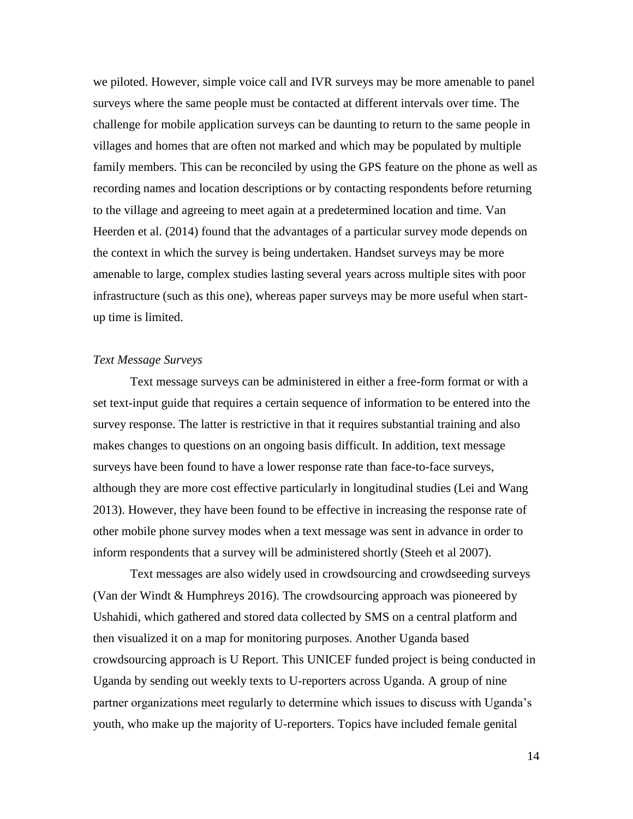we piloted. However, simple voice call and IVR surveys may be more amenable to panel surveys where the same people must be contacted at different intervals over time. The challenge for mobile application surveys can be daunting to return to the same people in villages and homes that are often not marked and which may be populated by multiple family members. This can be reconciled by using the GPS feature on the phone as well as recording names and location descriptions or by contacting respondents before returning to the village and agreeing to meet again at a predetermined location and time. Van Heerden et al. (2014) found that the advantages of a particular survey mode depends on the context in which the survey is being undertaken. Handset surveys may be more amenable to large, complex studies lasting several years across multiple sites with poor infrastructure (such as this one), whereas paper surveys may be more useful when startup time is limited.

### *Text Message Surveys*

Text message surveys can be administered in either a free-form format or with a set text-input guide that requires a certain sequence of information to be entered into the survey response. The latter is restrictive in that it requires substantial training and also makes changes to questions on an ongoing basis difficult. In addition, text message surveys have been found to have a lower response rate than face-to-face surveys, although they are more cost effective particularly in longitudinal studies (Lei and Wang 2013). However, they have been found to be effective in increasing the response rate of other mobile phone survey modes when a text message was sent in advance in order to inform respondents that a survey will be administered shortly (Steeh et al 2007).

Text messages are also widely used in crowdsourcing and crowdseeding surveys (Van der Windt & Humphreys 2016). The crowdsourcing approach was pioneered by Ushahidi, which gathered and stored data collected by SMS on a central platform and then visualized it on a map for monitoring purposes. Another Uganda based crowdsourcing approach is U Report. This UNICEF funded project is being conducted in Uganda by sending out weekly texts to U-reporters across Uganda. A group of nine partner organizations meet regularly to determine which issues to discuss with Uganda's youth, who make up the majority of U-reporters. Topics have included female genital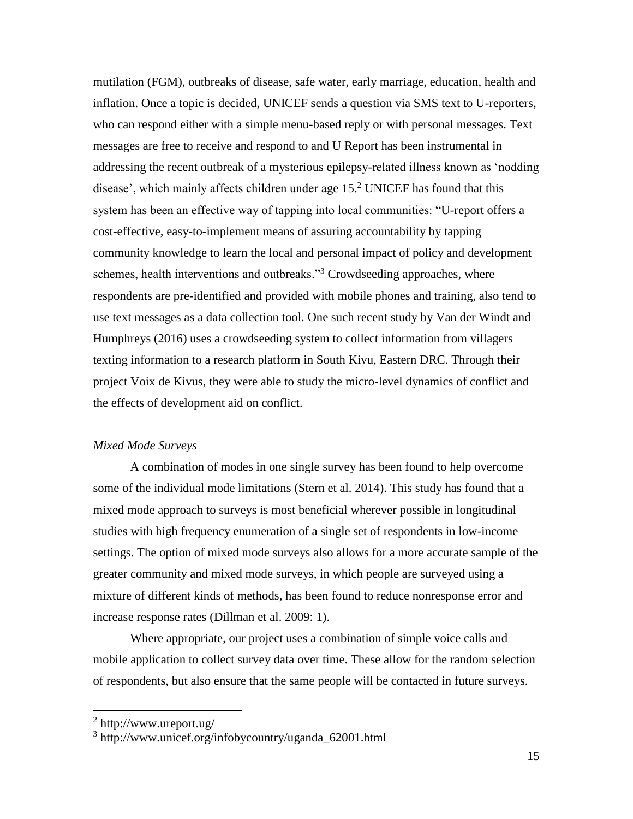mutilation (FGM), outbreaks of disease, safe water, early marriage, education, health and inflation. Once a topic is decided, UNICEF sends a question via SMS text to U-reporters, who can respond either with a simple menu-based reply or with personal messages. Text messages are free to receive and respond to and U Report has been instrumental in addressing the recent outbreak of a mysterious epilepsy-related illness known as 'nodding disease', which mainly affects children under age 15.<sup>2</sup> UNICEF has found that this system has been an effective way of tapping into local communities: "U-report offers a cost-effective, easy-to-implement means of assuring accountability by tapping community knowledge to learn the local and personal impact of policy and development schemes, health interventions and outbreaks."<sup>3</sup> Crowdseeding approaches, where respondents are pre-identified and provided with mobile phones and training, also tend to use text messages as a data collection tool. One such recent study by Van der Windt and Humphreys (2016) uses a crowdseeding system to collect information from villagers texting information to a research platform in South Kivu, Eastern DRC. Through their project Voix de Kivus, they were able to study the micro-level dynamics of conflict and the effects of development aid on conflict.

## *Mixed Mode Surveys*

A combination of modes in one single survey has been found to help overcome some of the individual mode limitations (Stern et al. 2014). This study has found that a mixed mode approach to surveys is most beneficial wherever possible in longitudinal studies with high frequency enumeration of a single set of respondents in low-income settings. The option of mixed mode surveys also allows for a more accurate sample of the greater community and mixed mode surveys, in which people are surveyed using a mixture of different kinds of methods, has been found to reduce nonresponse error and increase response rates (Dillman et al. 2009: 1).

Where appropriate, our project uses a combination of simple voice calls and mobile application to collect survey data over time. These allow for the random selection of respondents, but also ensure that the same people will be contacted in future surveys.

 $\overline{a}$ 

<sup>&</sup>lt;sup>2</sup> http://www.ureport.ug/

<sup>&</sup>lt;sup>3</sup> http://www.unicef.org/infobycountry/uganda\_62001.html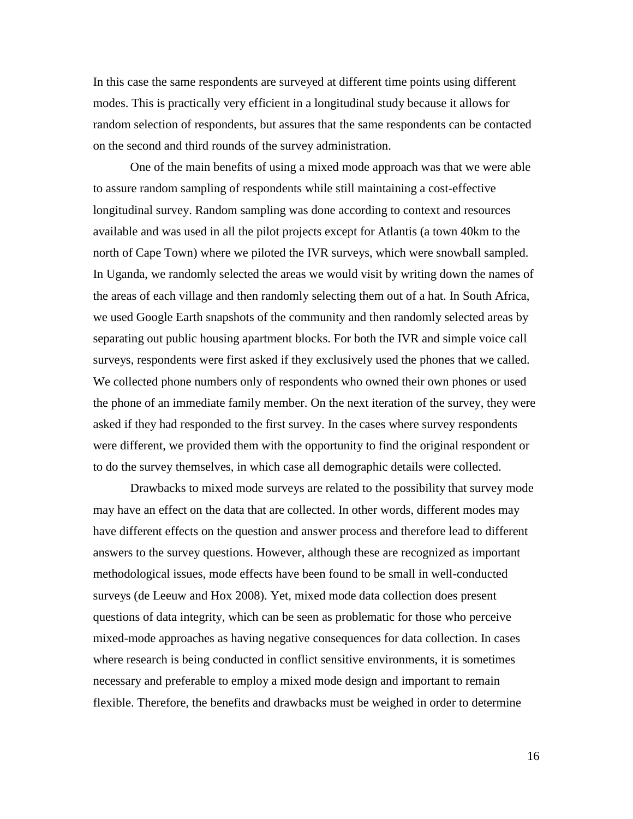In this case the same respondents are surveyed at different time points using different modes. This is practically very efficient in a longitudinal study because it allows for random selection of respondents, but assures that the same respondents can be contacted on the second and third rounds of the survey administration.

One of the main benefits of using a mixed mode approach was that we were able to assure random sampling of respondents while still maintaining a cost-effective longitudinal survey. Random sampling was done according to context and resources available and was used in all the pilot projects except for Atlantis (a town 40km to the north of Cape Town) where we piloted the IVR surveys, which were snowball sampled. In Uganda, we randomly selected the areas we would visit by writing down the names of the areas of each village and then randomly selecting them out of a hat. In South Africa, we used Google Earth snapshots of the community and then randomly selected areas by separating out public housing apartment blocks. For both the IVR and simple voice call surveys, respondents were first asked if they exclusively used the phones that we called. We collected phone numbers only of respondents who owned their own phones or used the phone of an immediate family member. On the next iteration of the survey, they were asked if they had responded to the first survey. In the cases where survey respondents were different, we provided them with the opportunity to find the original respondent or to do the survey themselves, in which case all demographic details were collected.

Drawbacks to mixed mode surveys are related to the possibility that survey mode may have an effect on the data that are collected. In other words, different modes may have different effects on the question and answer process and therefore lead to different answers to the survey questions. However, although these are recognized as important methodological issues, mode effects have been found to be small in well-conducted surveys (de Leeuw and Hox 2008). Yet, mixed mode data collection does present questions of data integrity, which can be seen as problematic for those who perceive mixed-mode approaches as having negative consequences for data collection. In cases where research is being conducted in conflict sensitive environments, it is sometimes necessary and preferable to employ a mixed mode design and important to remain flexible. Therefore, the benefits and drawbacks must be weighed in order to determine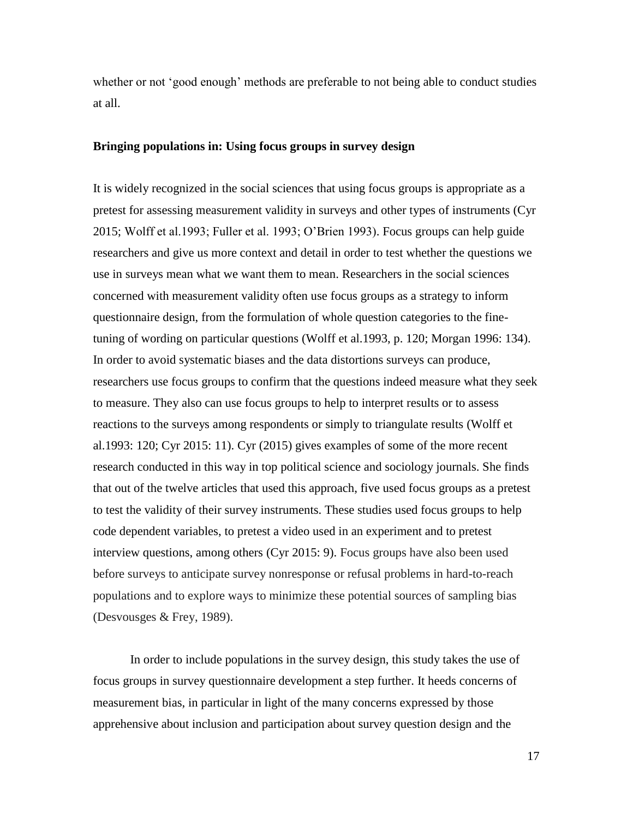whether or not 'good enough' methods are preferable to not being able to conduct studies at all.

#### **Bringing populations in: Using focus groups in survey design**

It is widely recognized in the social sciences that using focus groups is appropriate as a pretest for assessing measurement validity in surveys and other types of instruments (Cyr 2015; Wolff et al.1993; Fuller et al. 1993; O'Brien 1993). Focus groups can help guide researchers and give us more context and detail in order to test whether the questions we use in surveys mean what we want them to mean. Researchers in the social sciences concerned with measurement validity often use focus groups as a strategy to inform questionnaire design, from the formulation of whole question categories to the finetuning of wording on particular questions (Wolff et al.1993, p. 120; Morgan 1996: 134). In order to avoid systematic biases and the data distortions surveys can produce, researchers use focus groups to confirm that the questions indeed measure what they seek to measure. They also can use focus groups to help to interpret results or to assess reactions to the surveys among respondents or simply to triangulate results (Wolff et al.1993: 120; Cyr 2015: 11). Cyr (2015) gives examples of some of the more recent research conducted in this way in top political science and sociology journals. She finds that out of the twelve articles that used this approach, five used focus groups as a pretest to test the validity of their survey instruments. These studies used focus groups to help code dependent variables, to pretest a video used in an experiment and to pretest interview questions, among others (Cyr 2015: 9). Focus groups have also been used before surveys to anticipate survey nonresponse or refusal problems in hard-to-reach populations and to explore ways to minimize these potential sources of sampling bias (Desvousges & Frey, 1989).

In order to include populations in the survey design, this study takes the use of focus groups in survey questionnaire development a step further. It heeds concerns of measurement bias, in particular in light of the many concerns expressed by those apprehensive about inclusion and participation about survey question design and the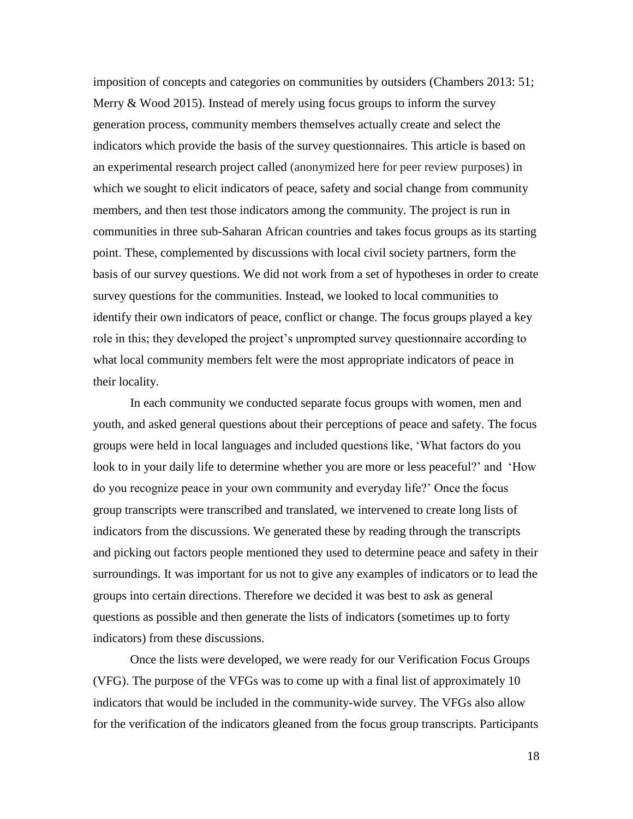imposition of concepts and categories on communities by outsiders (Chambers 2013: 51; Merry  $& Wood 2015$ ). Instead of merely using focus groups to inform the survey generation process, community members themselves actually create and select the indicators which provide the basis of the survey questionnaires. This article is based on an experimental research project called (anonymized here for peer review purposes) in which we sought to elicit indicators of peace, safety and social change from community members, and then test those indicators among the community. The project is run in communities in three sub-Saharan African countries and takes focus groups as its starting point. These, complemented by discussions with local civil society partners, form the basis of our survey questions. We did not work from a set of hypotheses in order to create survey questions for the communities. Instead, we looked to local communities to identify their own indicators of peace, conflict or change. The focus groups played a key role in this; they developed the project's unprompted survey questionnaire according to what local community members felt were the most appropriate indicators of peace in their locality.

In each community we conducted separate focus groups with women, men and youth, and asked general questions about their perceptions of peace and safety. The focus groups were held in local languages and included questions like, 'What factors do you look to in your daily life to determine whether you are more or less peaceful?' and 'How do you recognize peace in your own community and everyday life?' Once the focus group transcripts were transcribed and translated, we intervened to create long lists of indicators from the discussions. We generated these by reading through the transcripts and picking out factors people mentioned they used to determine peace and safety in their surroundings. It was important for us not to give any examples of indicators or to lead the groups into certain directions. Therefore we decided it was best to ask as general questions as possible and then generate the lists of indicators (sometimes up to forty indicators) from these discussions.

Once the lists were developed, we were ready for our Verification Focus Groups (VFG). The purpose of the VFGs was to come up with a final list of approximately 10 indicators that would be included in the community-wide survey. The VFGs also allow for the verification of the indicators gleaned from the focus group transcripts. Participants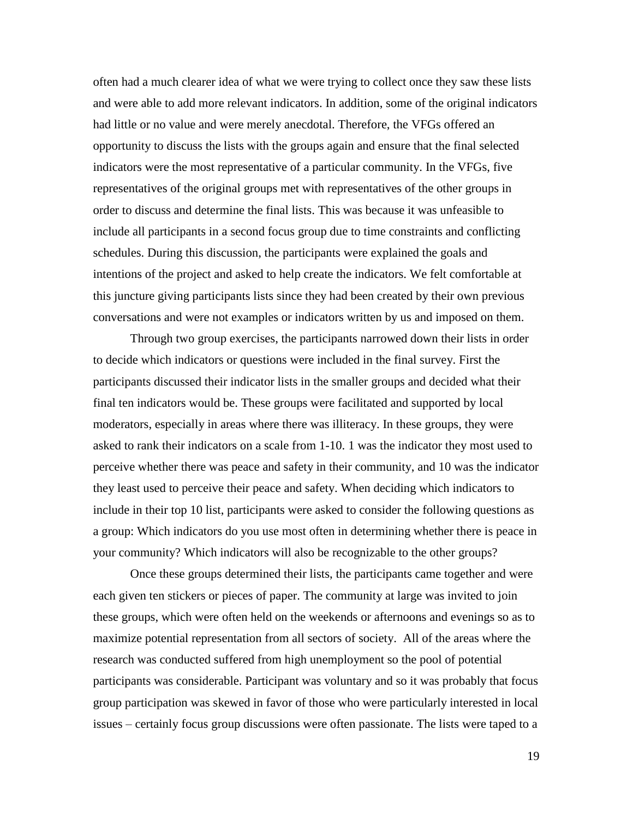often had a much clearer idea of what we were trying to collect once they saw these lists and were able to add more relevant indicators. In addition, some of the original indicators had little or no value and were merely anecdotal. Therefore, the VFGs offered an opportunity to discuss the lists with the groups again and ensure that the final selected indicators were the most representative of a particular community. In the VFGs, five representatives of the original groups met with representatives of the other groups in order to discuss and determine the final lists. This was because it was unfeasible to include all participants in a second focus group due to time constraints and conflicting schedules. During this discussion, the participants were explained the goals and intentions of the project and asked to help create the indicators. We felt comfortable at this juncture giving participants lists since they had been created by their own previous conversations and were not examples or indicators written by us and imposed on them.

Through two group exercises, the participants narrowed down their lists in order to decide which indicators or questions were included in the final survey. First the participants discussed their indicator lists in the smaller groups and decided what their final ten indicators would be. These groups were facilitated and supported by local moderators, especially in areas where there was illiteracy. In these groups, they were asked to rank their indicators on a scale from 1-10. 1 was the indicator they most used to perceive whether there was peace and safety in their community, and 10 was the indicator they least used to perceive their peace and safety. When deciding which indicators to include in their top 10 list, participants were asked to consider the following questions as a group: Which indicators do you use most often in determining whether there is peace in your community? Which indicators will also be recognizable to the other groups?

Once these groups determined their lists, the participants came together and were each given ten stickers or pieces of paper. The community at large was invited to join these groups, which were often held on the weekends or afternoons and evenings so as to maximize potential representation from all sectors of society. All of the areas where the research was conducted suffered from high unemployment so the pool of potential participants was considerable. Participant was voluntary and so it was probably that focus group participation was skewed in favor of those who were particularly interested in local issues – certainly focus group discussions were often passionate. The lists were taped to a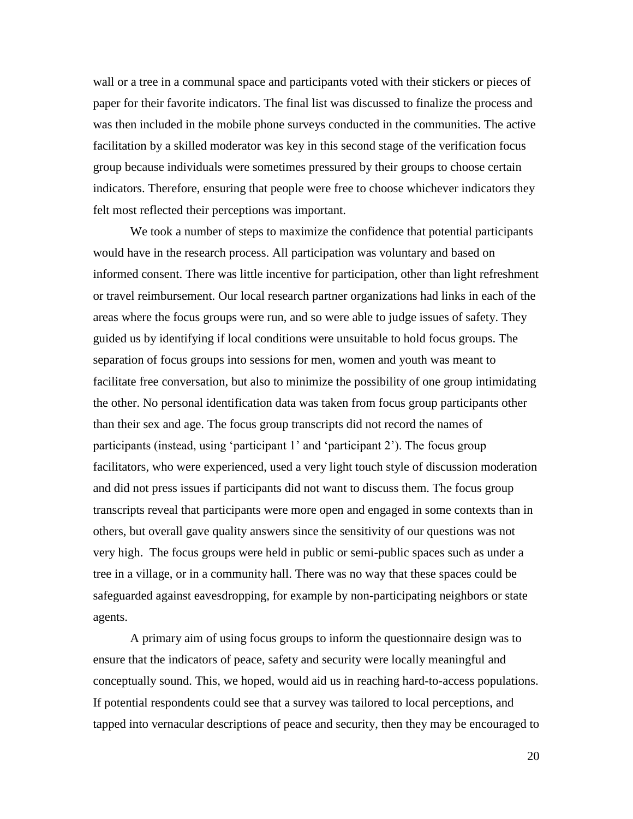wall or a tree in a communal space and participants voted with their stickers or pieces of paper for their favorite indicators. The final list was discussed to finalize the process and was then included in the mobile phone surveys conducted in the communities. The active facilitation by a skilled moderator was key in this second stage of the verification focus group because individuals were sometimes pressured by their groups to choose certain indicators. Therefore, ensuring that people were free to choose whichever indicators they felt most reflected their perceptions was important.

We took a number of steps to maximize the confidence that potential participants would have in the research process. All participation was voluntary and based on informed consent. There was little incentive for participation, other than light refreshment or travel reimbursement. Our local research partner organizations had links in each of the areas where the focus groups were run, and so were able to judge issues of safety. They guided us by identifying if local conditions were unsuitable to hold focus groups. The separation of focus groups into sessions for men, women and youth was meant to facilitate free conversation, but also to minimize the possibility of one group intimidating the other. No personal identification data was taken from focus group participants other than their sex and age. The focus group transcripts did not record the names of participants (instead, using 'participant 1' and 'participant 2'). The focus group facilitators, who were experienced, used a very light touch style of discussion moderation and did not press issues if participants did not want to discuss them. The focus group transcripts reveal that participants were more open and engaged in some contexts than in others, but overall gave quality answers since the sensitivity of our questions was not very high. The focus groups were held in public or semi-public spaces such as under a tree in a village, or in a community hall. There was no way that these spaces could be safeguarded against eavesdropping, for example by non-participating neighbors or state agents.

A primary aim of using focus groups to inform the questionnaire design was to ensure that the indicators of peace, safety and security were locally meaningful and conceptually sound. This, we hoped, would aid us in reaching hard-to-access populations. If potential respondents could see that a survey was tailored to local perceptions, and tapped into vernacular descriptions of peace and security, then they may be encouraged to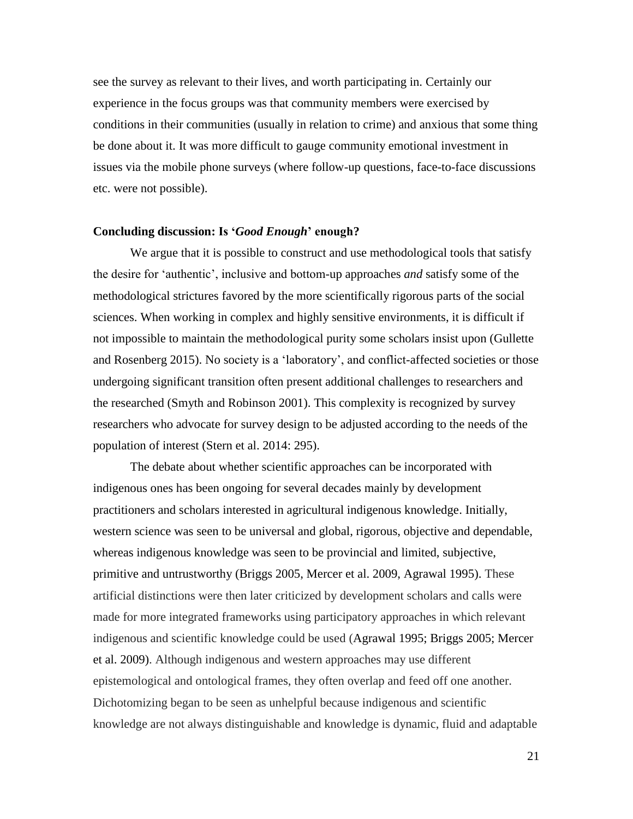see the survey as relevant to their lives, and worth participating in. Certainly our experience in the focus groups was that community members were exercised by conditions in their communities (usually in relation to crime) and anxious that some thing be done about it. It was more difficult to gauge community emotional investment in issues via the mobile phone surveys (where follow-up questions, face-to-face discussions etc. were not possible).

#### **Concluding discussion: Is '***Good Enough***' enough?**

We argue that it is possible to construct and use methodological tools that satisfy the desire for 'authentic', inclusive and bottom-up approaches *and* satisfy some of the methodological strictures favored by the more scientifically rigorous parts of the social sciences. When working in complex and highly sensitive environments, it is difficult if not impossible to maintain the methodological purity some scholars insist upon (Gullette and Rosenberg 2015). No society is a 'laboratory', and conflict-affected societies or those undergoing significant transition often present additional challenges to researchers and the researched (Smyth and Robinson 2001). This complexity is recognized by survey researchers who advocate for survey design to be adjusted according to the needs of the population of interest (Stern et al. 2014: 295).

The debate about whether scientific approaches can be incorporated with indigenous ones has been ongoing for several decades mainly by development practitioners and scholars interested in agricultural indigenous knowledge. Initially, western science was seen to be universal and global, rigorous, objective and dependable, whereas indigenous knowledge was seen to be provincial and limited, subjective, primitive and untrustworthy (Briggs 2005, Mercer et al. 2009, Agrawal 1995). These artificial distinctions were then later criticized by development scholars and calls were made for more integrated frameworks using participatory approaches in which relevant indigenous and scientific knowledge could be used (Agrawal 1995; Briggs 2005; Mercer et al. 2009). Although indigenous and western approaches may use different epistemological and ontological frames, they often overlap and feed off one another. Dichotomizing began to be seen as unhelpful because indigenous and scientific knowledge are not always distinguishable and knowledge is dynamic, fluid and adaptable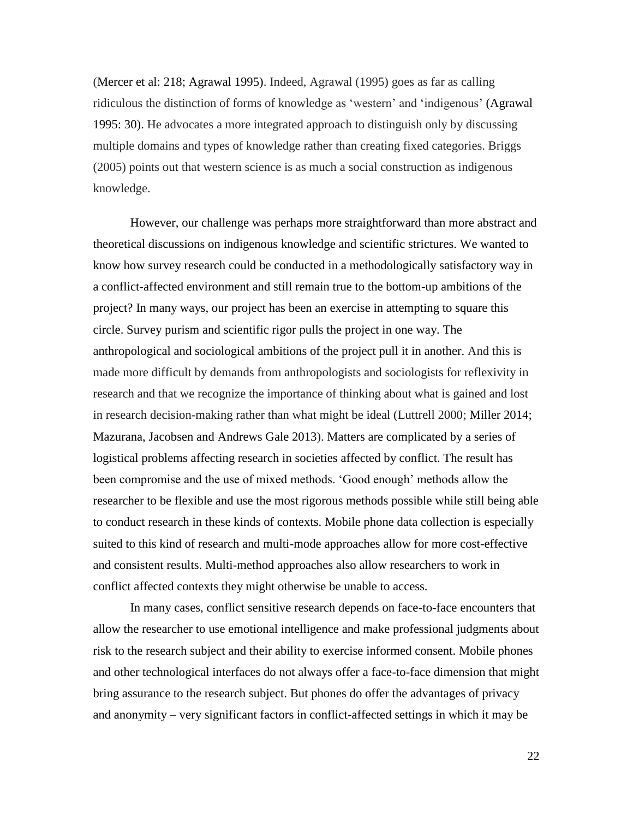(Mercer et al: 218; Agrawal 1995). Indeed, Agrawal (1995) goes as far as calling ridiculous the distinction of forms of knowledge as 'western' and 'indigenous' (Agrawal 1995: 30). He advocates a more integrated approach to distinguish only by discussing multiple domains and types of knowledge rather than creating fixed categories. Briggs (2005) points out that western science is as much a social construction as indigenous knowledge.

However, our challenge was perhaps more straightforward than more abstract and theoretical discussions on indigenous knowledge and scientific strictures. We wanted to know how survey research could be conducted in a methodologically satisfactory way in a conflict-affected environment and still remain true to the bottom-up ambitions of the project? In many ways, our project has been an exercise in attempting to square this circle. Survey purism and scientific rigor pulls the project in one way. The anthropological and sociological ambitions of the project pull it in another. And this is made more difficult by demands from anthropologists and sociologists for reflexivity in research and that we recognize the importance of thinking about what is gained and lost in research decision-making rather than what might be ideal (Luttrell 2000; Miller 2014; Mazurana, Jacobsen and Andrews Gale 2013). Matters are complicated by a series of logistical problems affecting research in societies affected by conflict. The result has been compromise and the use of mixed methods. 'Good enough' methods allow the researcher to be flexible and use the most rigorous methods possible while still being able to conduct research in these kinds of contexts. Mobile phone data collection is especially suited to this kind of research and multi-mode approaches allow for more cost-effective and consistent results. Multi-method approaches also allow researchers to work in conflict affected contexts they might otherwise be unable to access.

In many cases, conflict sensitive research depends on face-to-face encounters that allow the researcher to use emotional intelligence and make professional judgments about risk to the research subject and their ability to exercise informed consent. Mobile phones and other technological interfaces do not always offer a face-to-face dimension that might bring assurance to the research subject. But phones do offer the advantages of privacy and anonymity – very significant factors in conflict-affected settings in which it may be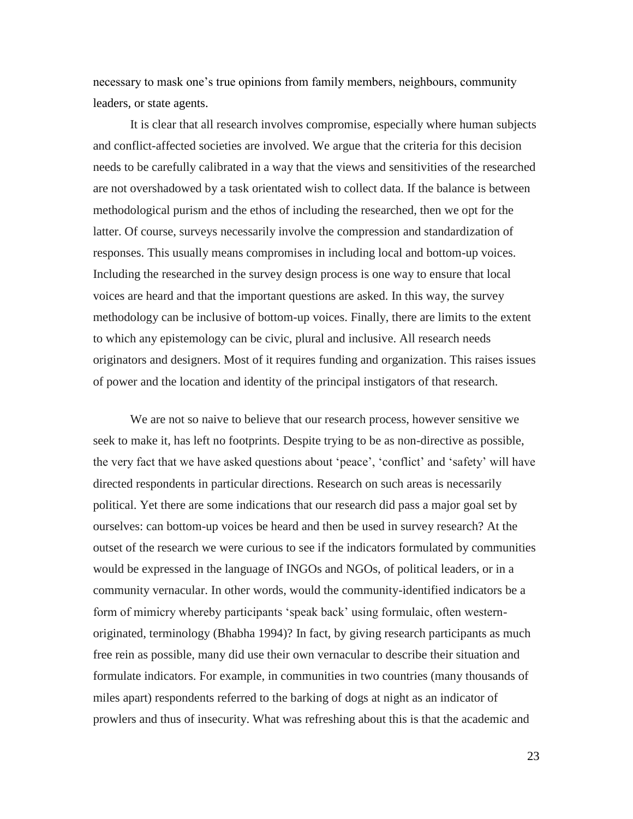necessary to mask one's true opinions from family members, neighbours, community leaders, or state agents.

It is clear that all research involves compromise, especially where human subjects and conflict-affected societies are involved. We argue that the criteria for this decision needs to be carefully calibrated in a way that the views and sensitivities of the researched are not overshadowed by a task orientated wish to collect data. If the balance is between methodological purism and the ethos of including the researched, then we opt for the latter. Of course, surveys necessarily involve the compression and standardization of responses. This usually means compromises in including local and bottom-up voices. Including the researched in the survey design process is one way to ensure that local voices are heard and that the important questions are asked. In this way, the survey methodology can be inclusive of bottom-up voices. Finally, there are limits to the extent to which any epistemology can be civic, plural and inclusive. All research needs originators and designers. Most of it requires funding and organization. This raises issues of power and the location and identity of the principal instigators of that research.

We are not so naive to believe that our research process, however sensitive we seek to make it, has left no footprints. Despite trying to be as non-directive as possible, the very fact that we have asked questions about 'peace', 'conflict' and 'safety' will have directed respondents in particular directions. Research on such areas is necessarily political. Yet there are some indications that our research did pass a major goal set by ourselves: can bottom-up voices be heard and then be used in survey research? At the outset of the research we were curious to see if the indicators formulated by communities would be expressed in the language of INGOs and NGOs, of political leaders, or in a community vernacular. In other words, would the community-identified indicators be a form of mimicry whereby participants 'speak back' using formulaic, often westernoriginated, terminology (Bhabha 1994)? In fact, by giving research participants as much free rein as possible, many did use their own vernacular to describe their situation and formulate indicators. For example, in communities in two countries (many thousands of miles apart) respondents referred to the barking of dogs at night as an indicator of prowlers and thus of insecurity. What was refreshing about this is that the academic and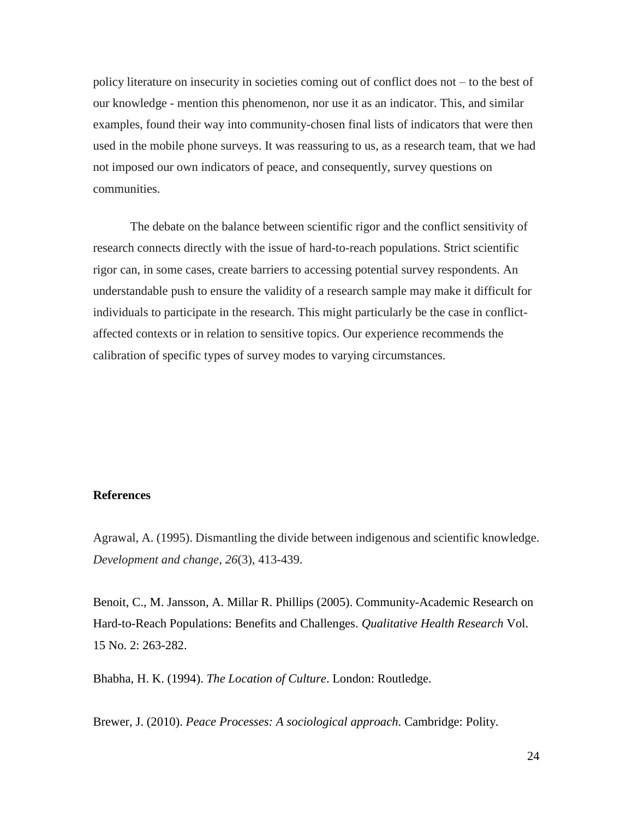policy literature on insecurity in societies coming out of conflict does not – to the best of our knowledge - mention this phenomenon, nor use it as an indicator. This, and similar examples, found their way into community-chosen final lists of indicators that were then used in the mobile phone surveys. It was reassuring to us, as a research team, that we had not imposed our own indicators of peace, and consequently, survey questions on communities.

The debate on the balance between scientific rigor and the conflict sensitivity of research connects directly with the issue of hard-to-reach populations. Strict scientific rigor can, in some cases, create barriers to accessing potential survey respondents. An understandable push to ensure the validity of a research sample may make it difficult for individuals to participate in the research. This might particularly be the case in conflictaffected contexts or in relation to sensitive topics. Our experience recommends the calibration of specific types of survey modes to varying circumstances.

### **References**

Agrawal, A. (1995). Dismantling the divide between indigenous and scientific knowledge. *Development and change*, *26*(3), 413-439.

Benoit, C., M. Jansson, A. Millar R. Phillips (2005). Community-Academic Research on Hard-to-Reach Populations: Benefits and Challenges. *Qualitative Health Research* Vol. 15 No. 2: 263-282.

Bhabha, H. K. (1994). *The Location of Culture*. London: Routledge.

Brewer, J. (2010). *Peace Processes: A sociological approach*. Cambridge: Polity.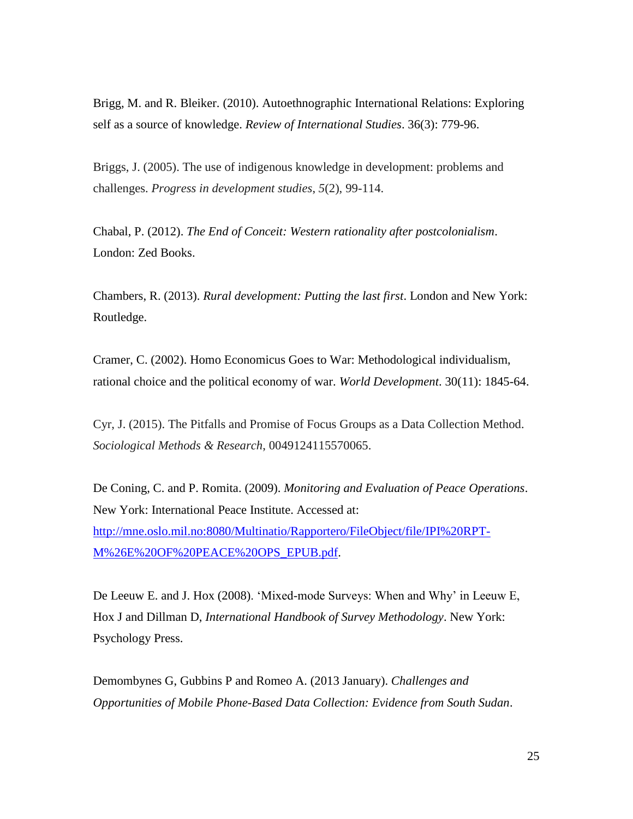Brigg, M. and R. Bleiker. (2010). Autoethnographic International Relations: Exploring self as a source of knowledge. *Review of International Studies*. 36(3): 779-96.

Briggs, J. (2005). The use of indigenous knowledge in development: problems and challenges. *Progress in development studies*, *5*(2), 99-114.

Chabal, P. (2012). *The End of Conceit: Western rationality after postcolonialism*. London: Zed Books.

Chambers, R. (2013). *Rural development: Putting the last first*. London and New York: Routledge.

Cramer, C. (2002). Homo Economicus Goes to War: Methodological individualism, rational choice and the political economy of war. *World Development*. 30(11): 1845-64.

Cyr, J. (2015). The Pitfalls and Promise of Focus Groups as a Data Collection Method. *Sociological Methods & Research*, 0049124115570065.

De Coning, C. and P. Romita. (2009). *Monitoring and Evaluation of Peace Operations*. New York: International Peace Institute. Accessed at: [http://mne.oslo.mil.no:8080/Multinatio/Rapportero/FileObject/file/IPI%20RPT-](http://mne.oslo.mil.no:8080/Multinatio/Rapportero/FileObject/file/IPI%20RPT-M%26E%20OF%20PEACE%20OPS_EPUB.pdf)[M%26E%20OF%20PEACE%20OPS\\_EPUB.pdf.](http://mne.oslo.mil.no:8080/Multinatio/Rapportero/FileObject/file/IPI%20RPT-M%26E%20OF%20PEACE%20OPS_EPUB.pdf)

De Leeuw E. and J. Hox (2008). 'Mixed-mode Surveys: When and Why' in Leeuw E, Hox J and Dillman D, *International Handbook of Survey Methodology*. New York: Psychology Press.

Demombynes G, Gubbins P and Romeo A. (2013 January). *Challenges and Opportunities of Mobile Phone-Based Data Collection: Evidence from South Sudan*.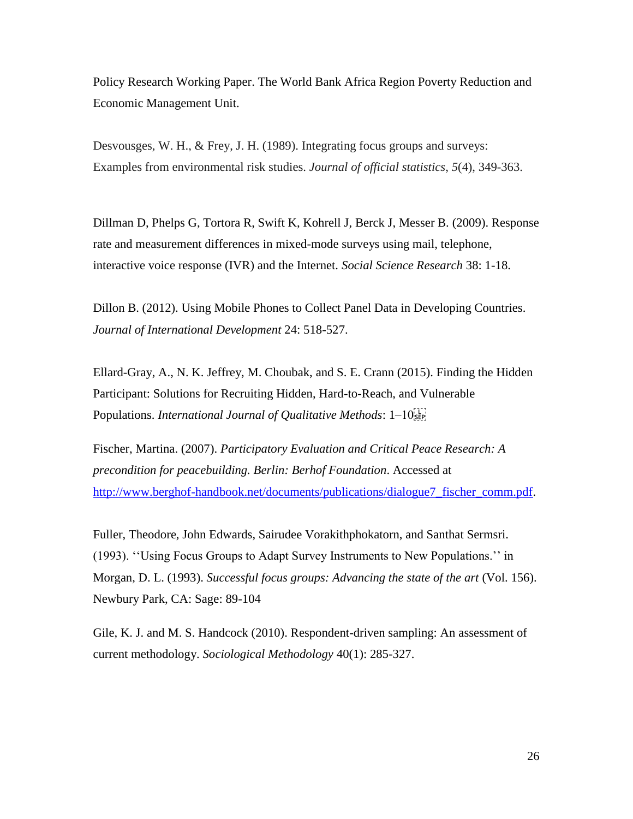Policy Research Working Paper. The World Bank Africa Region Poverty Reduction and Economic Management Unit.

Desvousges, W. H., & Frey, J. H. (1989). Integrating focus groups and surveys: Examples from environmental risk studies. *Journal of official statistics*, *5*(4), 349-363.

Dillman D, Phelps G, Tortora R, Swift K, Kohrell J, Berck J, Messer B. (2009). Response rate and measurement differences in mixed-mode surveys using mail, telephone, interactive voice response (IVR) and the Internet. *Social Science Research* 38: 1-18.

Dillon B. (2012). Using Mobile Phones to Collect Panel Data in Developing Countries. *Journal of International Development* 24: 518-527.

Ellard-Gray, A., N. K. Jeffrey, M. Choubak, and S. E. Crann (2015). Finding the Hidden Participant: Solutions for Recruiting Hidden, Hard-to-Reach, and Vulnerable Populations. *International Journal of Qualitative Methods*: 1–10

Fischer, Martina. (2007). *Participatory Evaluation and Critical Peace Research: A precondition for peacebuilding. Berlin: Berhof Foundation*. Accessed at [http://www.berghof-handbook.net/documents/publications/dialogue7\\_fischer\\_comm.pdf.](http://www.berghof-handbook.net/documents/publications/dialogue7_fischer_comm.pdf)

Fuller, Theodore, John Edwards, Sairudee Vorakithphokatorn, and Santhat Sermsri. (1993). ''Using Focus Groups to Adapt Survey Instruments to New Populations.'' in Morgan, D. L. (1993). *Successful focus groups: Advancing the state of the art* (Vol. 156). Newbury Park, CA: Sage: 89-104

Gile, K. J. and M. S. Handcock (2010). Respondent-driven sampling: An assessment of current methodology. *Sociological Methodology* 40(1): 285-327.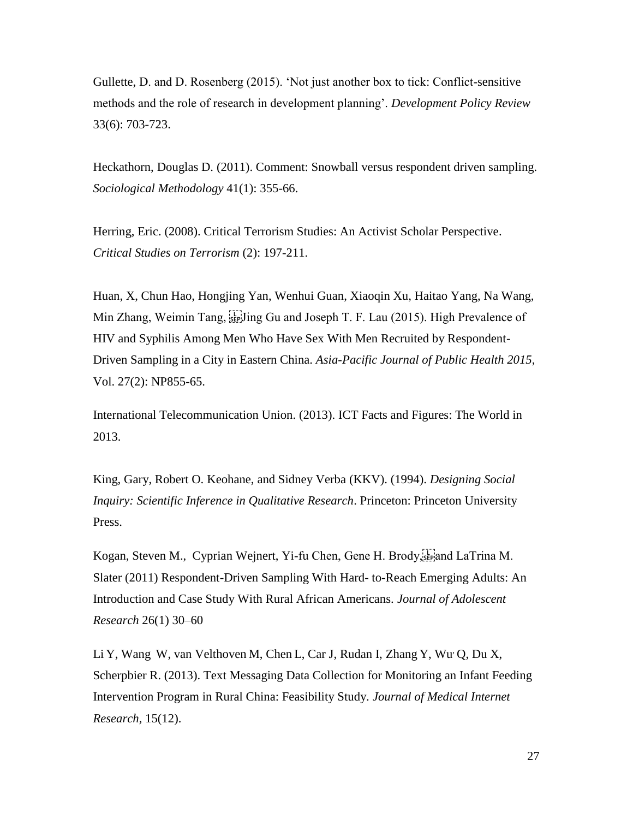Gullette, D. and D. Rosenberg (2015). 'Not just another box to tick: Conflict-sensitive methods and the role of research in development planning'. *Development Policy Review* 33(6): 703-723.

Heckathorn, Douglas D. (2011). Comment: Snowball versus respondent driven sampling. *Sociological Methodology* 41(1): 355-66.

Herring, Eric. (2008). Critical Terrorism Studies: An Activist Scholar Perspective. *Critical Studies on Terrorism* (2): 197-211.

Huan, X, Chun Hao, Hongjing Yan, Wenhui Guan, Xiaoqin Xu, Haitao Yang, Na Wang, Min Zhang, Weimin Tang,  $\frac{1}{25}$  Jing Gu and Joseph T. F. Lau (2015). High Prevalence of HIV and Syphilis Among Men Who Have Sex With Men Recruited by Respondent-Driven Sampling in a City in Eastern China. *Asia-Pacific Journal of Public Health 2015*, Vol. 27(2): NP855-65.

International Telecommunication Union. (2013). ICT Facts and Figures: The World in 2013.

King, Gary, Robert O. Keohane, and Sidney Verba (KKV). (1994). *Designing Social Inquiry: Scientific Inference in Qualitative Research. Princeton: Princeton University* Press.

Kogan, Steven M., Cyprian Wejnert, Yi-fu Chen, Gene H. Brody, stegand LaTrina M. Slater (2011) Respondent-Driven Sampling With Hard- to-Reach Emerging Adults: An Introduction and Case Study With Rural African Americans. *Journal of Adolescent Research* 26(1) 30–60

Li Y, Wang W, van Velthoven M, Chen L, Car J, Rudan I, Zhang Y, Wu, Q, Du X, Scherpbier R. (2013). Text Messaging Data Collection for Monitoring an Infant Feeding Intervention Program in Rural China: Feasibility Study. *Journal of Medical Internet Research,* 15(12).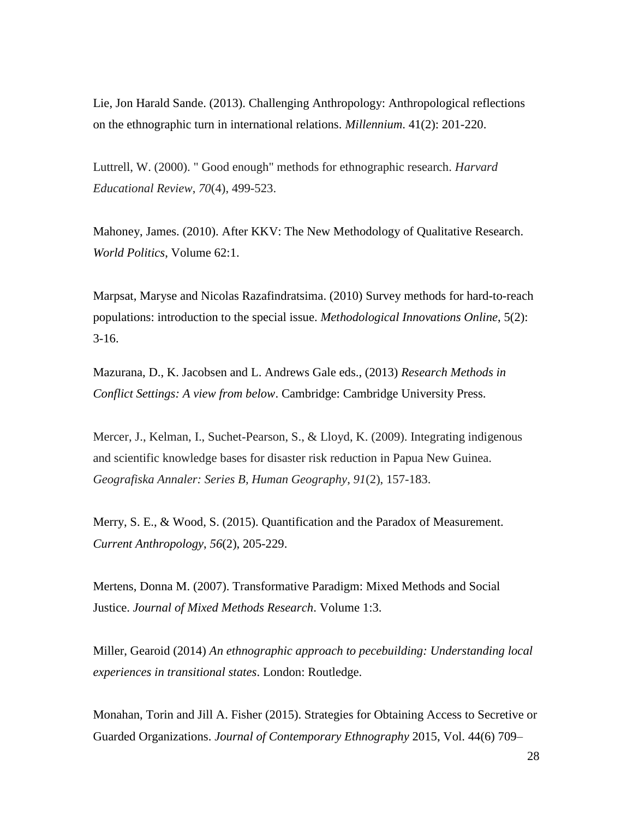Lie, Jon Harald Sande. (2013). Challenging Anthropology: Anthropological reflections on the ethnographic turn in international relations. *Millennium*. 41(2): 201-220.

Luttrell, W. (2000). " Good enough" methods for ethnographic research. *Harvard Educational Review*, *70*(4), 499-523.

Mahoney, James. (2010). After KKV: The New Methodology of Qualitative Research. *World Politics*, Volume 62:1.

Marpsat, Maryse and Nicolas Razafindratsima. (2010) Survey methods for hard-to-reach populations: introduction to the special issue. *Methodological Innovations Online*, 5(2): 3-16.

Mazurana, D., K. Jacobsen and L. Andrews Gale eds., (2013) *Research Methods in Conflict Settings: A view from below*. Cambridge: Cambridge University Press.

Mercer, J., Kelman, I., Suchet-Pearson, S., & Lloyd, K. (2009). Integrating indigenous and scientific knowledge bases for disaster risk reduction in Papua New Guinea. *Geografiska Annaler: Series B, Human Geography*, *91*(2), 157-183.

Merry, S. E., & Wood, S. (2015). Quantification and the Paradox of Measurement. *Current Anthropology*, *56*(2), 205-229.

Mertens, Donna M. (2007). Transformative Paradigm: Mixed Methods and Social Justice. *Journal of Mixed Methods Research*. Volume 1:3.

Miller, Gearoid (2014) *An ethnographic approach to pecebuilding: Understanding local experiences in transitional states*. London: Routledge.

Monahan, Torin and Jill A. Fisher (2015). Strategies for Obtaining Access to Secretive or Guarded Organizations. *Journal of Contemporary Ethnography* 2015, Vol. 44(6) 709–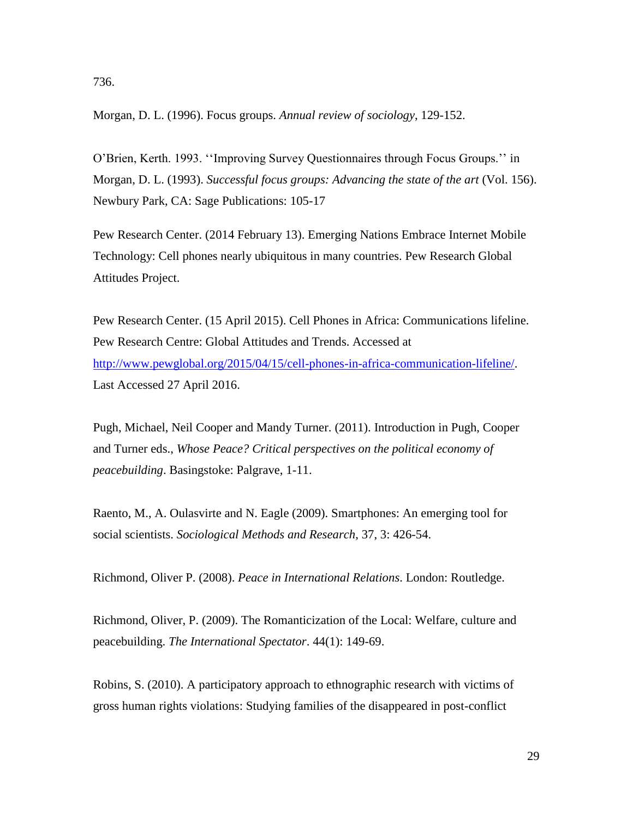736.

Morgan, D. L. (1996). Focus groups. *Annual review of sociology*, 129-152.

O'Brien, Kerth. 1993. ''Improving Survey Questionnaires through Focus Groups.'' in Morgan, D. L. (1993). *Successful focus groups: Advancing the state of the art* (Vol. 156). Newbury Park, CA: Sage Publications: 105-17

Pew Research Center. (2014 February 13). Emerging Nations Embrace Internet Mobile Technology: Cell phones nearly ubiquitous in many countries. Pew Research Global Attitudes Project.

Pew Research Center. (15 April 2015). Cell Phones in Africa: Communications lifeline. Pew Research Centre: Global Attitudes and Trends. Accessed at [http://www.pewglobal.org/2015/04/15/cell-phones-in-africa-communication-lifeline/.](http://www.pewglobal.org/2015/04/15/cell-phones-in-africa-communication-lifeline/) Last Accessed 27 April 2016.

Pugh, Michael, Neil Cooper and Mandy Turner. (2011). Introduction in Pugh, Cooper and Turner eds., *Whose Peace? Critical perspectives on the political economy of peacebuilding*. Basingstoke: Palgrave, 1-11.

Raento, M., A. Oulasvirte and N. Eagle (2009). Smartphones: An emerging tool for social scientists. *Sociological Methods and Research*, 37, 3: 426-54.

Richmond, Oliver P. (2008). *Peace in International Relations*. London: Routledge.

Richmond, Oliver, P. (2009). The Romanticization of the Local: Welfare, culture and peacebuilding. *The International Spectator*. 44(1): 149-69.

Robins, S. (2010). A participatory approach to ethnographic research with victims of gross human rights violations: Studying families of the disappeared in post-conflict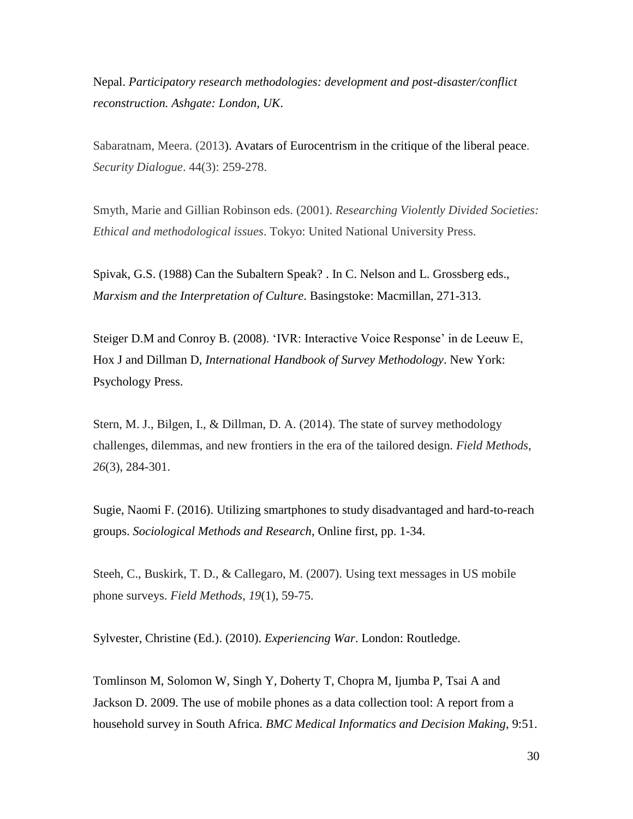Nepal. *Participatory research methodologies: development and post-disaster/conflict reconstruction. Ashgate: London, UK*.

Sabaratnam, Meera. (2013). Avatars of Eurocentrism in the critique of the liberal peace. *Security Dialogue*. 44(3): 259-278.

Smyth, Marie and Gillian Robinson eds. (2001). *Researching Violently Divided Societies: Ethical and methodological issues*. Tokyo: United National University Press.

Spivak, G.S. (1988) Can the Subaltern Speak? . In C. Nelson and L. Grossberg eds., *Marxism and the Interpretation of Culture*. Basingstoke: Macmillan, 271-313.

Steiger D.M and Conroy B. (2008). 'IVR: Interactive Voice Response' in de Leeuw E, Hox J and Dillman D, *International Handbook of Survey Methodology*. New York: Psychology Press.

Stern, M. J., Bilgen, I., & Dillman, D. A. (2014). The state of survey methodology challenges, dilemmas, and new frontiers in the era of the tailored design. *Field Methods*, *26*(3), 284-301.

Sugie, Naomi F. (2016). Utilizing smartphones to study disadvantaged and hard-to-reach groups. *Sociological Methods and Research*, Online first, pp. 1-34.

Steeh, C., Buskirk, T. D., & Callegaro, M. (2007). Using text messages in US mobile phone surveys. *Field Methods*, *19*(1), 59-75.

Sylvester, Christine (Ed.). (2010). *Experiencing War*. London: Routledge.

Tomlinson M, Solomon W, Singh Y, Doherty T, Chopra M, Ijumba P, Tsai A and Jackson D. 2009. The use of mobile phones as a data collection tool: A report from a household survey in South Africa. *BMC Medical Informatics and Decision Making*, 9:51.